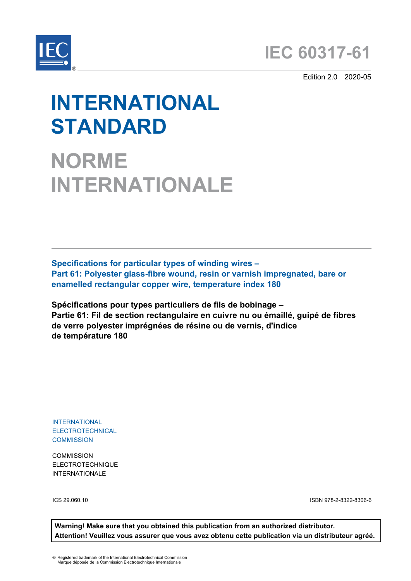

Edition 2.0 2020-05

# **INTERNATIONAL STANDARD**

**NORME INTERNATIONALE**

**Specifications for particular types of winding wires – Part 61: Polyester glass-fibre wound, resin or varnish impregnated, bare or enamelled rectangular copper wire, temperature index 180** 

**Spécifications pour types particuliers de fils de bobinage – Partie 61: Fil de section rectangulaire en cuivre nu ou émaillé, guipé de fibres de verre polyester imprégnées de résine ou de vernis, d'indice de température 180**

INTERNATIONAL **ELECTROTECHNICAL COMMISSION** 

**COMMISSION** ELECTROTECHNIQUE INTERNATIONALE

ICS 29.060.10 ISBN 978-2-8322-8306-6

**Warning! Make sure that you obtained this publication from an authorized distributor. Attention! Veuillez vous assurer que vous avez obtenu cette publication via un distributeur agréé.**

® Registered trademark of the International Electrotechnical Commission Marque déposée de la Commission Electrotechnique Internationale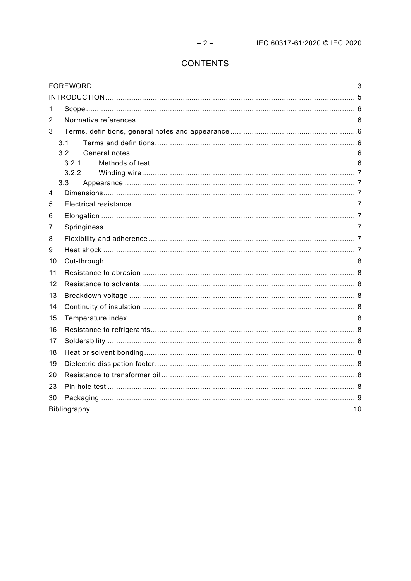# CONTENTS

| 1     |  |
|-------|--|
| 2     |  |
| 3     |  |
| 3.1   |  |
| 3.2   |  |
| 3.2.1 |  |
| 3.2.2 |  |
| 3.3   |  |
| 4     |  |
| 5     |  |
| 6     |  |
| 7     |  |
| 8     |  |
| 9     |  |
| 10    |  |
| 11    |  |
| 12    |  |
| 13    |  |
| 14    |  |
| 15    |  |
| 16    |  |
| 17    |  |
| 18    |  |
| 19    |  |
| 20    |  |
| 23    |  |
| 30    |  |
|       |  |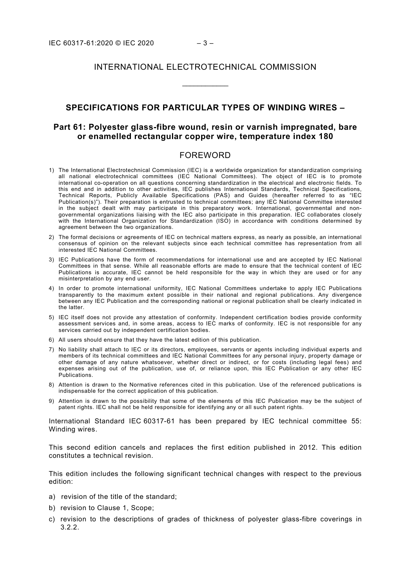## INTERNATIONAL ELECTROTECHNICAL COMMISSION

\_\_\_\_\_\_\_\_\_\_\_\_

## **SPECIFICATIONS FOR PARTICULAR TYPES OF WINDING WIRES –**

## **Part 61: Polyester glass-fibre wound, resin or varnish impregnated, bare or enamelled rectangular copper wire, temperature index 180**

## FOREWORD

- <span id="page-2-0"></span>1) The International Electrotechnical Commission (IEC) is a worldwide organization for standardization comprising all national electrotechnical committees (IEC National Committees). The object of IEC is to promote international co-operation on all questions concerning standardization in the electrical and electronic fields. To this end and in addition to other activities, IEC publishes International Standards, Technical Specifications, Technical Reports, Publicly Available Specifications (PAS) and Guides (hereafter referred to as "IEC Publication(s)"). Their preparation is entrusted to technical committees; any IEC National Committee interested in the subject dealt with may participate in this preparatory work. International, governmental and nongovernmental organizations liaising with the IEC also participate in this preparation. IEC collaborates closely with the International Organization for Standardization (ISO) in accordance with conditions determined by agreement between the two organizations.
- 2) The formal decisions or agreements of IEC on technical matters express, as nearly as possible, an international consensus of opinion on the relevant subjects since each technical committee has representation from all interested IEC National Committees.
- 3) IEC Publications have the form of recommendations for international use and are accepted by IEC National Committees in that sense. While all reasonable efforts are made to ensure that the technical content of IEC Publications is accurate, IEC cannot be held responsible for the way in which they are used or for any misinterpretation by any end user.
- 4) In order to promote international uniformity, IEC National Committees undertake to apply IEC Publications transparently to the maximum extent possible in their national and regional publications. Any divergence between any IEC Publication and the corresponding national or regional publication shall be clearly indicated in the latter.
- 5) IEC itself does not provide any attestation of conformity. Independent certification bodies provide conformity assessment services and, in some areas, access to IEC marks of conformity. IEC is not responsible for any services carried out by independent certification bodies.
- 6) All users should ensure that they have the latest edition of this publication.
- 7) No liability shall attach to IEC or its directors, employees, servants or agents including individual experts and members of its technical committees and IEC National Committees for any personal injury, property damage or other damage of any nature whatsoever, whether direct or indirect, or for costs (including legal fees) and expenses arising out of the publication, use of, or reliance upon, this IEC Publication or any other IEC Publications.
- 8) Attention is drawn to the Normative references cited in this publication. Use of the referenced publications is indispensable for the correct application of this publication.
- 9) Attention is drawn to the possibility that some of the elements of this IEC Publication may be the subject of patent rights. IEC shall not be held responsible for identifying any or all such patent rights.

International Standard IEC 60317-61 has been prepared by IEC technical committee 55: Winding wires.

This second edition cancels and replaces the first edition published in 2012. This edition constitutes a technical revision.

This edition includes the following significant technical changes with respect to the previous edition:

- a) revision of the title of the standard;
- b) revision to Clause 1, Scope;
- c) revision to the descriptions of grades of thickness of polyester glass-fibre coverings in 3.2.2.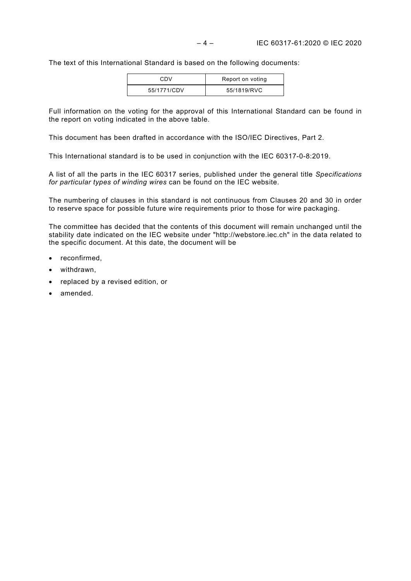The text of this International Standard is based on the following documents:

| CDV         | Report on voting |
|-------------|------------------|
| 55/1771/CDV | 55/1819/RVC      |

Full information on the voting for the approval of this International Standard can be found in the report on voting indicated in the above table.

This document has been drafted in accordance with the ISO/IEC Directives, Part 2.

This International standard is to be used in conjunction with the IEC 60317-0-8:2019.

A list of all the parts in the IEC 60317 series, published under the general title *Specifications for particular types of winding wires* can be found on the IEC website.

The numbering of clauses in this standard is not continuous from Clauses 20 and 30 in order to reserve space for possible future wire requirements prior to those for wire packaging.

The committee has decided that the contents of this document will remain unchanged until the stability date indicated on the IEC website under "http://webstore.iec.ch" in the data related to the specific document. At this date, the document will be

- reconfirmed,
- withdrawn.
- replaced by a revised edition, or
- amended.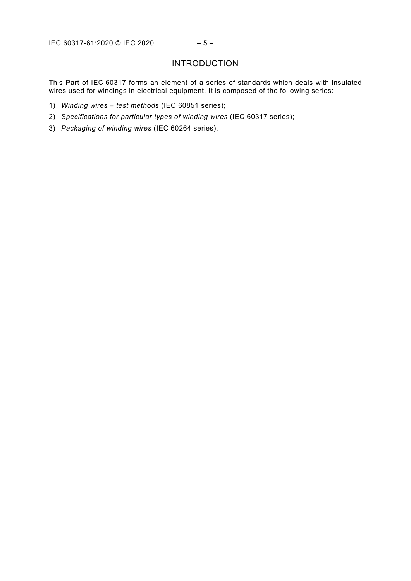# INTRODUCTION

<span id="page-4-0"></span>This Part of IEC 60317 forms an element of a series of standards which deals with insulated wires used for windings in electrical equipment. It is composed of the following series:

- 1) *Winding wires test methods* (IEC 60851 series);
- 2) *Specifications for particular types of winding wires* (IEC 60317 series);
- 3) *Packaging of winding wires* (IEC 60264 series).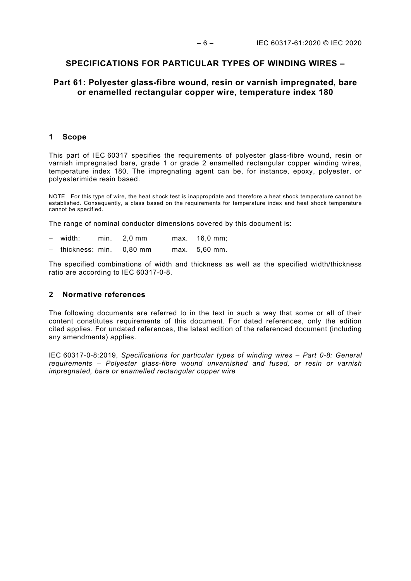## **SPECIFICATIONS FOR PARTICULAR TYPES OF WINDING WIRES –**

# **Part 61: Polyester glass-fibre wound, resin or varnish impregnated, bare or enamelled rectangular copper wire, temperature index 180**

#### <span id="page-5-0"></span>**1 Scope**

This part of IEC 60317 specifies the requirements of polyester glass-fibre wound, resin or varnish impregnated bare, grade 1 or grade 2 enamelled rectangular copper winding wires, temperature index 180. The impregnating agent can be, for instance, epoxy, polyester, or polyesterimide resin based.

NOTE For this type of wire, the heat shock test is inappropriate and therefore a heat shock temperature cannot be established. Consequently, a class based on the requirements for temperature index and heat shock temperature cannot be specified.

The range of nominal conductor dimensions covered by this document is:

- $-$  width: min. 2,0 mm max. 16,0 mm;
- thickness: min. 0,80 mm max. 5,60 mm.

The specified combinations of width and thickness as well as the specified width/thickness ratio are according to IEC 60317-0-8.

#### <span id="page-5-1"></span>**2 Normative references**

The following documents are referred to in the text in such a way that some or all of their content constitutes requirements of this document. For dated references, only the edition cited applies. For undated references, the latest edition of the referenced document (including any amendments) applies.

<span id="page-5-5"></span><span id="page-5-4"></span><span id="page-5-3"></span><span id="page-5-2"></span>IEC 60317-0-8:2019, *Specifications for particular types of winding wires – Part 0-8: General requirements – Polyester glass-fibre wound unvarnished and fused, or resin or varnish impregnated, bare or enamelled rectangular copper wire*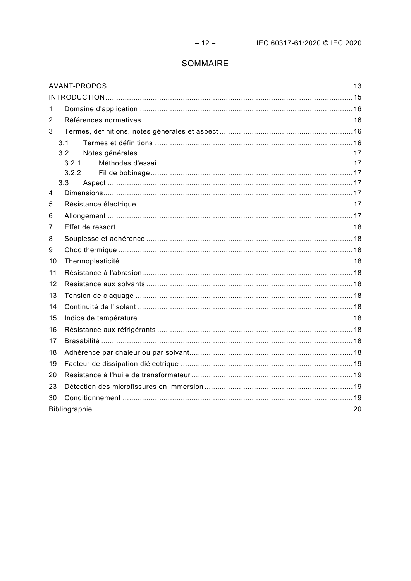# SOMMAIRE

| 1  |       |  |
|----|-------|--|
| 2  |       |  |
| 3  |       |  |
|    | 3.1   |  |
|    | 3.2   |  |
|    | 3.2.1 |  |
|    | 3.2.2 |  |
|    | 3.3   |  |
| 4  |       |  |
| 5  |       |  |
| 6  |       |  |
| 7  |       |  |
| 8  |       |  |
| 9  |       |  |
| 10 |       |  |
| 11 |       |  |
| 12 |       |  |
| 13 |       |  |
| 14 |       |  |
| 15 |       |  |
| 16 |       |  |
| 17 |       |  |
| 18 |       |  |
| 19 |       |  |
| 20 |       |  |
| 23 |       |  |
| 30 |       |  |
|    |       |  |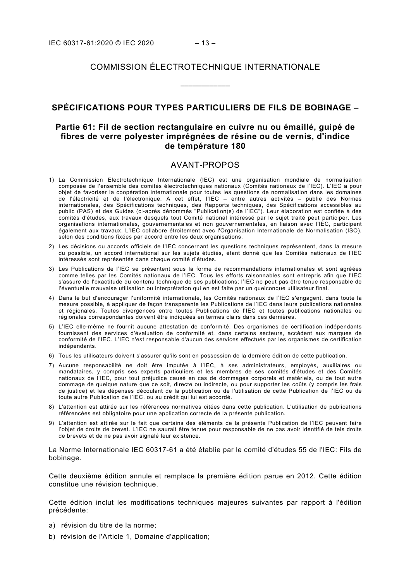# COMMISSION ÉLECTROTECHNIQUE INTERNATIONALE

\_\_\_\_\_\_\_\_\_\_\_\_

## **SPÉCIFICATIONS POUR TYPES PARTICULIERS DE FILS DE BOBINAGE –**

# **Partie 61: Fil de section rectangulaire en cuivre nu ou émaillé, guipé de fibres de verre polyester imprégnées de résine ou de vernis, d'indice de température 180**

## AVANT-PROPOS

- <span id="page-7-0"></span>1) La Commission Electrotechnique Internationale (IEC) est une organisation mondiale de normalisation composée de l'ensemble des comités électrotechniques nationaux (Comités nationaux de l'IEC). L'IEC a pour objet de favoriser la coopération internationale pour toutes les questions de normalisation dans les domaines de l'électricité et de l'électronique. A cet effet, l'IEC – entre autres activités – publie des Normes internationales, des Spécifications techniques, des Rapports techniques, des Spécifications accessibles au public (PAS) et des Guides (ci-après dénommés "Publication(s) de l'IEC"). Leur élaboration est confiée à des comités d'études, aux travaux desquels tout Comité national intéressé par le sujet traité peut participer. Les organisations internationales, gouvernementales et non gouvernementales, en liaison avec l'IEC, participent également aux travaux. L'IEC collabore étroitement avec l'Organisation Internationale de Normalisation (ISO), selon des conditions fixées par accord entre les deux organisations.
- 2) Les décisions ou accords officiels de l'IEC concernant les questions techniques représentent, dans la mesure du possible, un accord international sur les sujets étudiés, étant donné que les Comités nationaux de l'IEC intéressés sont représentés dans chaque comité d'études.
- 3) Les Publications de l'IEC se présentent sous la forme de recommandations internationales et sont agréées comme telles par les Comités nationaux de l'IEC. Tous les efforts raisonnables sont entrepris afin que l'IEC s'assure de l'exactitude du contenu technique de ses publications; l'IEC ne peut pas être tenue responsable de l'éventuelle mauvaise utilisation ou interprétation qui en est faite par un quelconque utilisateur final.
- 4) Dans le but d'encourager l'uniformité internationale, les Comités nationaux de l'IEC s'engagent, dans toute la mesure possible, à appliquer de façon transparente les Publications de l'IEC dans leurs publications nationales et régionales. Toutes divergences entre toutes Publications de l'IEC et toutes publications nationales ou régionales correspondantes doivent être indiquées en termes clairs dans ces dernières.
- 5) L'IEC elle-même ne fournit aucune attestation de conformité. Des organismes de certification indépendants fournissent des services d'évaluation de conformité et, dans certains secteurs, accèdent aux marques de conformité de l'IEC. L'IEC n'est responsable d'aucun des services effectués par les organismes de certification indépendants.
- 6) Tous les utilisateurs doivent s'assurer qu'ils sont en possession de la dernière édition de cette publication.
- 7) Aucune responsabilité ne doit être imputée à l'IEC, à ses administrateurs, employés, auxiliaires ou mandataires, y compris ses experts particuliers et les membres de ses comités d'études et des Comités nationaux de l'IEC, pour tout préjudice causé en cas de dommages corporels et matériels, ou de tout autre dommage de quelque nature que ce soit, directe ou indirecte, ou pour supporter les coûts (y compris les frais de justice) et les dépenses découlant de la publication ou de l'utilisation de cette Publication de l'IEC ou de toute autre Publication de l'IEC, ou au crédit qui lui est accordé.
- 8) L'attention est attirée sur les références normatives citées dans cette publication. L'utilisation de publications référencées est obligatoire pour une application correcte de la présente publication.
- 9) L'attention est attirée sur le fait que certains des éléments de la présente Publication de l'IEC peuvent faire l'objet de droits de brevet. L'IEC ne saurait être tenue pour responsable de ne pas avoir identifié de tels droits de brevets et de ne pas avoir signalé leur existence.

La Norme Internationale IEC 60317-61 a été établie par le comité d'études 55 de l'IEC: Fils de bobinage.

Cette deuxième édition annule et remplace la première édition parue en 2012. Cette édition constitue une révision technique.

Cette édition inclut les modifications techniques majeures suivantes par rapport à l'édition précédente:

- a) révision du titre de la norme;
- b) révision de l'Article 1, Domaine d'application;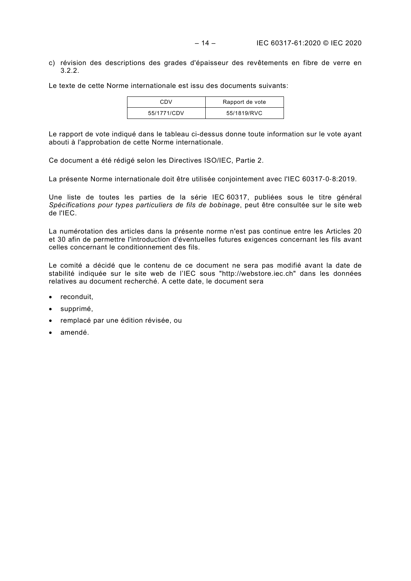c) révision des descriptions des grades d'épaisseur des revêtements en fibre de verre en 3.2.2.

Le texte de cette Norme internationale est issu des documents suivants:

| CDV         | Rapport de vote |
|-------------|-----------------|
| 55/1771/CDV | 55/1819/RVC     |

Le rapport de vote indiqué dans le tableau ci-dessus donne toute information sur le vote ayant abouti à l'approbation de cette Norme internationale.

Ce document a été rédigé selon les Directives ISO/IEC, Partie 2.

La présente Norme internationale doit être utilisée conjointement avec l'IEC 60317‑0‑8:2019.

Une liste de toutes les parties de la série IEC 60317, publiées sous le titre général *Spécifications pour types particuliers de fils de bobinage*, peut être consultée sur le site web de l'IEC.

La numérotation des articles dans la présente norme n'est pas continue entre les Articles 20 et 30 afin de permettre l'introduction d'éventuelles futures exigences concernant les fils avant celles concernant le conditionnement des fils.

Le comité a décidé que le contenu de ce document ne sera pas modifié avant la date de stabilité indiquée sur le site web de l'IEC sous "http://webstore.iec.ch" dans les données relatives au document recherché. A cette date, le document sera

- reconduit,
- supprimé,
- remplacé par une édition révisée, ou
- amendé.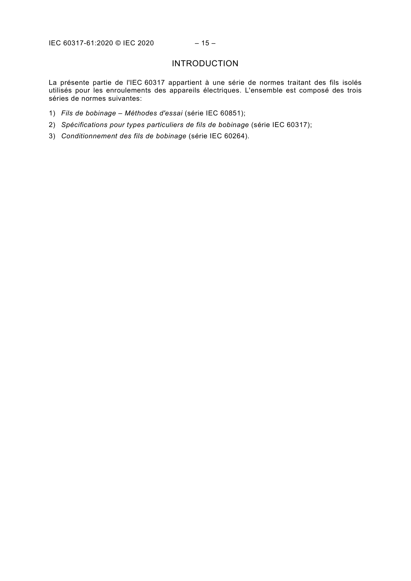# INTRODUCTION

<span id="page-9-0"></span>La présente partie de l'IEC 60317 appartient à une série de normes traitant des fils isolés utilisés pour les enroulements des appareils électriques. L'ensemble est composé des trois séries de normes suivantes:

- 1) *Fils de bobinage Méthodes d'essai* (série IEC 60851);
- 2) *Spécifications pour types particuliers de fils de bobinage* (série IEC 60317);
- 3) *Conditionnement des fils de bobinage* (série IEC 60264).